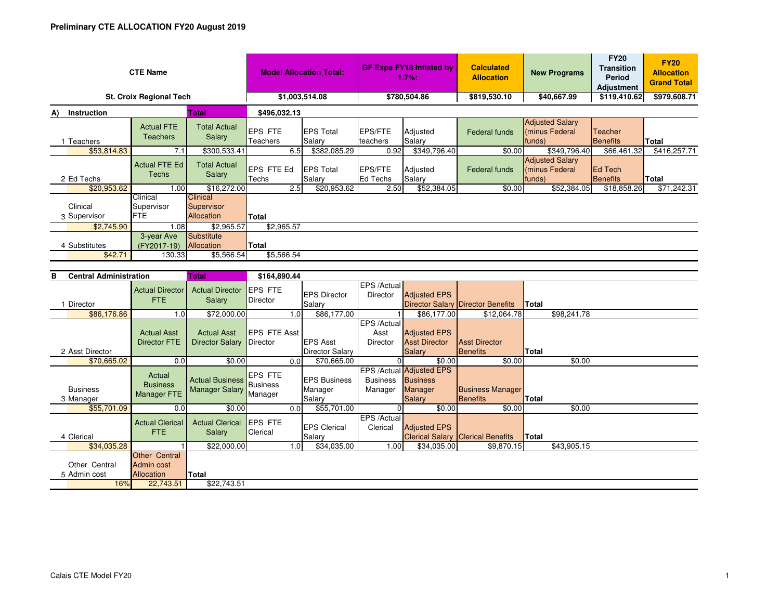| <b>CTE Name</b>                |                                      |                                             | <b>Model Allocation Total:</b>     |                            | <b>GF Exps FY18 Inflated by</b><br>1.7%: |                    | <b>Calculated</b><br><b>Allocation</b> | <b>New Programs</b>                                | <b>FY20</b><br><b>Transition</b><br>Period<br><b>Adjustment</b> | <b>FY20</b><br><b>Allocation</b><br><b>Grand Total</b> |
|--------------------------------|--------------------------------------|---------------------------------------------|------------------------------------|----------------------------|------------------------------------------|--------------------|----------------------------------------|----------------------------------------------------|-----------------------------------------------------------------|--------------------------------------------------------|
| <b>St. Croix Regional Tech</b> |                                      |                                             | \$1,003,514.08                     |                            | \$780,504.86                             |                    | \$819,530.10                           | \$40,667.99                                        | \$119,410.62                                                    | \$979,608.71                                           |
| <b>Instruction</b><br>A)       |                                      | <b>Total</b>                                | \$496,032.13                       |                            |                                          |                    |                                        |                                                    |                                                                 |                                                        |
| Teachers                       | <b>Actual FTE</b><br><b>Teachers</b> | <b>Total Actual</b><br>Salary               | <b>IEPS FTE</b><br><b>Teachers</b> | <b>EPS Total</b><br>Salary | <b>EPS/FTE</b><br>teachers               | Adjusted<br>Salary | Federal funds                          | <b>Adjusted Salary</b><br>(minus Federal<br>funds) | Teacher<br><b>Benefits</b>                                      | Total                                                  |
| \$53,814.83                    | 7.1                                  | \$300,533.41                                | 6.5                                | \$382,085.29               | 0.92                                     | \$349,796.40       | \$0.00                                 | \$349,796.40                                       | \$66,461.32                                                     | \$416,257.71                                           |
| 2 Ed Techs                     | <b>Actual FTE Ed</b><br>Techs        | <b>Total Actual</b><br><b>Salary</b>        | <b>EPS FTE Ed</b><br>Techs         | <b>EPS Total</b><br>Salary | EPS/FTE<br>Ed Techs                      | Adjusted<br>Salary | Federal funds                          | <b>Adjusted Salary</b><br>(minus Federal<br>funds) | Ed Tech<br>Benefits                                             | Total                                                  |
| \$20,953.62                    | 1.00                                 | \$16,272.00                                 | 2.5                                | \$20,953.62                | 2.50                                     | \$52,384.05        | \$0.00                                 | \$52,384.05                                        | \$18,858.26                                                     | \$71,242.31                                            |
| Clinical<br>3 Supervisor       | Clinical<br>Supervisor<br><b>FTE</b> | <b>Clinical</b><br>Supervisor<br>Allocation | <b>Total</b>                       |                            |                                          |                    |                                        |                                                    |                                                                 |                                                        |
| \$2,745.90                     | 1.08                                 | \$2,965.57                                  | \$2,965.57                         |                            |                                          |                    |                                        |                                                    |                                                                 |                                                        |
| 4 Substitutes<br>\$42.71       | 3-year Ave<br>(FY2017-19)<br>130.33  | Substitute<br>Allocation<br>\$5,566.54      | Total<br>\$5,566.54                |                            |                                          |                    |                                        |                                                    |                                                                 |                                                        |
|                                |                                      |                                             |                                    |                            |                                          |                    |                                        |                                                    |                                                                 |                                                        |

| <b>Central Administration</b><br>в |                                                         | Total                                           | \$164,890.44                          |      |                                 |                            |                                                        |                                          |              |             |  |
|------------------------------------|---------------------------------------------------------|-------------------------------------------------|---------------------------------------|------|---------------------------------|----------------------------|--------------------------------------------------------|------------------------------------------|--------------|-------------|--|
|                                    | <b>Actual Director</b><br><b>FTE</b>                    | <b>Actual Director</b><br>Salary                | <b>IEPS FTE</b><br>Director           |      | <b>EPS Director</b>             | EPS /Actual<br>Director    | <b>Adjusted EPS</b>                                    |                                          |              |             |  |
| Director                           |                                                         |                                                 |                                       |      | Salary                          |                            |                                                        | <b>Director Salary Director Benefits</b> | <b>Total</b> |             |  |
| \$86,176.86                        | 1.0                                                     | \$72,000.00                                     |                                       | 1.0  | \$86,177.00                     |                            | \$86,177.00                                            | \$12,064.78                              |              | \$98,241.78 |  |
|                                    |                                                         |                                                 |                                       |      |                                 | EPS /Actual                |                                                        |                                          |              |             |  |
|                                    | <b>Actual Asst</b>                                      | <b>Actual Asst</b>                              | <b>IEPS FTE Asst</b>                  |      |                                 | Asst                       | <b>Adjusted EPS</b>                                    |                                          |              |             |  |
|                                    | <b>Director FTE</b>                                     | <b>Director Salary</b>                          | Director                              |      | <b>EPS Asst</b>                 | <b>Director</b>            | <b>Asst Director</b>                                   | <b>Asst Director</b>                     |              |             |  |
| 2 Asst Director                    |                                                         |                                                 |                                       |      | <b>Director Salary</b>          |                            | <b>Salary</b>                                          | <b>Benefits</b>                          | Total        |             |  |
| \$70,665.02                        | 0.0                                                     | \$0.00                                          |                                       | 0.0  | \$70,665.00                     |                            | \$0.00                                                 | \$0.00                                   |              | \$0.00      |  |
| <b>Business</b>                    | Actual<br><b>Business</b><br>Manager FTE                | <b>Actual Business</b><br><b>Manager Salary</b> | <b>EPS FTE</b><br>Business<br>Manager |      | <b>IEPS Business</b><br>Manager | <b>Business</b><br>Manager | EPS /Actual Adjusted EPS<br><b>Business</b><br>Manager | <b>Business Manager</b>                  |              |             |  |
| 3 Manager                          |                                                         |                                                 |                                       |      | Salary                          |                            | <b>Salary</b>                                          | Benefits                                 | <b>Total</b> |             |  |
| \$55,701.09                        | 0.0                                                     | \$0.00                                          |                                       | 0.01 | \$55,701.00                     | $\Omega$                   | \$0.00                                                 | \$0.00                                   |              | \$0.00      |  |
| 4 Clerical                         | <b>Actual Clerical</b><br>FTE.                          | <b>Actual Clerical</b><br>Salary                | <b>EPS FTE</b><br>Clerical            |      | <b>EPS Clerical</b><br>Salary   | EPS /Actual<br>Clerical    | <b>Adjusted EPS</b>                                    | <b>Clerical Salary Clerical Benefits</b> | Total        |             |  |
| \$34,035.28                        |                                                         | \$22,000.00                                     |                                       | 1.0  | \$34,035.00                     | 1.00                       | \$34,035.00                                            | \$9,870.15                               |              | \$43,905.15 |  |
| Other Central<br>5 Admin cost      | <b>Other Central</b><br>Admin cost<br><b>Allocation</b> | Total                                           |                                       |      |                                 |                            |                                                        |                                          |              |             |  |
| 16%                                | 22,743.51                                               | \$22,743.51                                     |                                       |      |                                 |                            |                                                        |                                          |              |             |  |